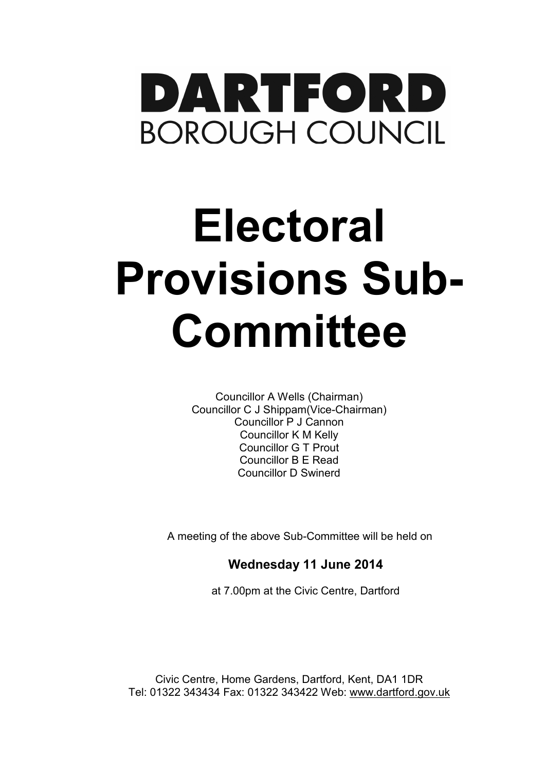

## **Electoral Provisions Sub-Committee**

Councillor A Wells (Chairman) Councillor C J Shippam(Vice-Chairman) Councillor P J Cannon Councillor K M Kelly Councillor G T Prout Councillor B E Read Councillor D Swinerd

A meeting of the above Sub-Committee will be held on

**Wednesday 11 June 2014** 

at 7.00pm at the Civic Centre, Dartford

Civic Centre, Home Gardens, Dartford, Kent, DA1 1DR Tel: 01322 343434 Fax: 01322 343422 Web: www.dartford.gov.uk